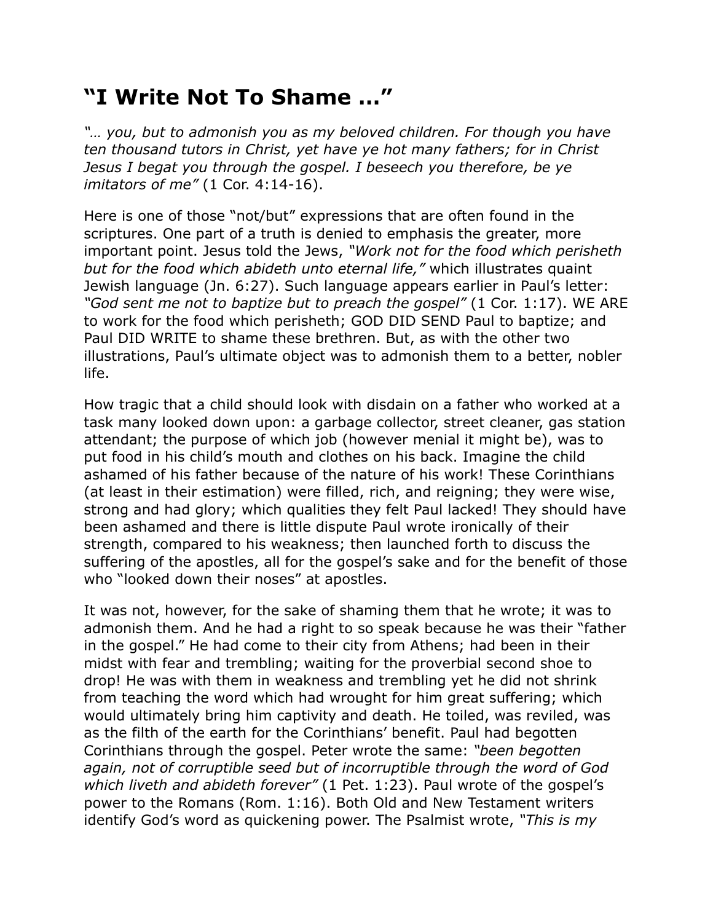## **"I Write Not To Shame …"**

*"… you, but to admonish you as my beloved children. For though you have ten thousand tutors in Christ, yet have ye hot many fathers; for in Christ Jesus I begat you through the gospel. I beseech you therefore, be ye imitators of me"* (1 Cor. 4:14-16).

Here is one of those "not/but" expressions that are often found in the scriptures. One part of a truth is denied to emphasis the greater, more important point. Jesus told the Jews, *"Work not for the food which perisheth but for the food which abideth unto eternal life,"* which illustrates quaint Jewish language (Jn. 6:27). Such language appears earlier in Paul's letter: *"God sent me not to baptize but to preach the gospel"* (1 Cor. 1:17). WE ARE to work for the food which perisheth; GOD DID SEND Paul to baptize; and Paul DID WRITE to shame these brethren. But, as with the other two illustrations, Paul's ultimate object was to admonish them to a better, nobler life.

How tragic that a child should look with disdain on a father who worked at a task many looked down upon: a garbage collector, street cleaner, gas station attendant; the purpose of which job (however menial it might be), was to put food in his child's mouth and clothes on his back. Imagine the child ashamed of his father because of the nature of his work! These Corinthians (at least in their estimation) were filled, rich, and reigning; they were wise, strong and had glory; which qualities they felt Paul lacked! They should have been ashamed and there is little dispute Paul wrote ironically of their strength, compared to his weakness; then launched forth to discuss the suffering of the apostles, all for the gospel's sake and for the benefit of those who "looked down their noses" at apostles.

It was not, however, for the sake of shaming them that he wrote; it was to admonish them. And he had a right to so speak because he was their "father in the gospel." He had come to their city from Athens; had been in their midst with fear and trembling; waiting for the proverbial second shoe to drop! He was with them in weakness and trembling yet he did not shrink from teaching the word which had wrought for him great suffering; which would ultimately bring him captivity and death. He toiled, was reviled, was as the filth of the earth for the Corinthians' benefit. Paul had begotten Corinthians through the gospel. Peter wrote the same: *"been begotten again, not of corruptible seed but of incorruptible through the word of God which liveth and abideth forever"* (1 Pet. 1:23). Paul wrote of the gospel's power to the Romans (Rom. 1:16). Both Old and New Testament writers identify God's word as quickening power. The Psalmist wrote, *"This is my*